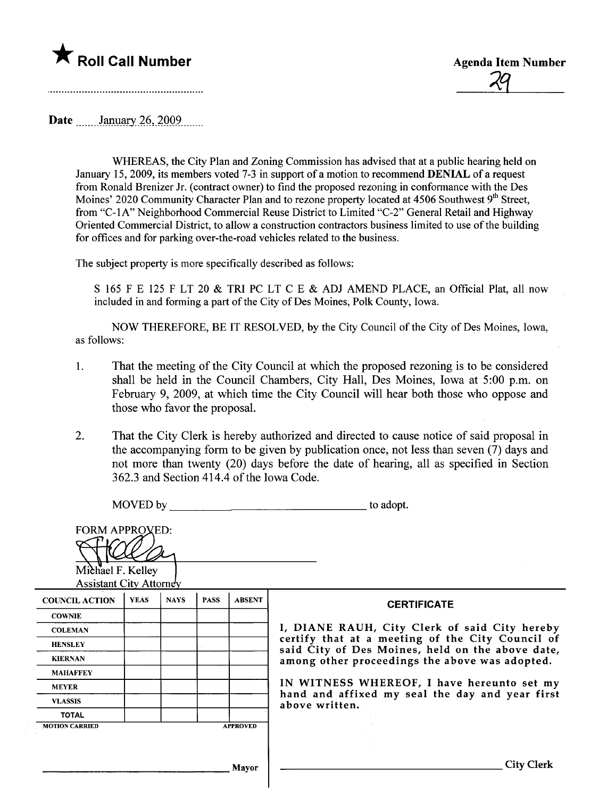



Date January 26, 2009

WHEREAS, the City Plan and Zoning Commission has advised that at a public hearing held on January 15,2009, its members voted 7-3 in support of a motion to recommend DENIAL of a request from Ronald Brenizer Jr. (contract owner) to find the proposed rezoning in conformance with the Des Moines' 2020 Community Character Plan and to rezone property located at 4506 Southwest 9<sup>th</sup> Street, from "C-IA" Neighborhood Commercial Reuse District to Limited "C-2" General Retail and Highway Oriented Commercial District, to allow a construction contractors business limited to use of the building for offices and for parking over-the-road vehicles related to the business.

The subject property is more specifically described as follows:

S 165 F E 125 F LT 20 & TRI PC LT C E & ADJ AMEND PLACE, an Official Plat, all now included in and forming a part of the City of Des Moines, Polk County, Iowa.

NOW THEREFORE, BE IT RESOLVED, by the City Council of the City of Des Moines, Iowa, as follows:

- 1. That the meeting of the City Council at which the proposed rezoning is to be considered shall be held in the Council Chambers, City Hall, Des Moines, Iowa at 5:00 p.m. on February 9, 2009, at which time the City Council will hear both those who oppose and those who favor the proposaL.
- 2. That the City Clerk is hereby authorized and directed to cause notice of said proposal in the accompanying form to be given by publication once, not less than seven (7) days and not more than twenty (20) days before the date of hearing, all as specified in Section 362.3 and Section 414.4 of the Iowa Code.

MOVED by to adopt.

| <b>FORM APPROVED:</b><br>Michael F. Kelley<br><b>Assistant City Attorney</b> |             |             |             |                 |                                                                                                    |
|------------------------------------------------------------------------------|-------------|-------------|-------------|-----------------|----------------------------------------------------------------------------------------------------|
| <b>COUNCIL ACTION</b>                                                        | <b>YEAS</b> | <b>NAYS</b> | <b>PASS</b> | <b>ABSENT</b>   | <b>CERTIFICATE</b>                                                                                 |
| <b>COWNIE</b>                                                                |             |             |             |                 |                                                                                                    |
| <b>COLEMAN</b>                                                               |             |             |             |                 | I, DIANE RAUH, City Clerk of said City hereby                                                      |
| <b>HENSLEY</b>                                                               |             |             |             |                 | certify that at a meeting of the City Council of                                                   |
| <b>KIERNAN</b>                                                               |             |             |             |                 | said City of Des Moines, held on the above date,<br>among other proceedings the above was adopted. |
| <b>MAHAFFEY</b>                                                              |             |             |             |                 |                                                                                                    |
| <b>MEYER</b>                                                                 |             |             |             |                 | IN WITNESS WHEREOF, I have hereunto set my                                                         |
| <b>VLASSIS</b>                                                               |             |             |             |                 | hand and affixed my seal the day and year first<br>above written.                                  |
| <b>TOTAL</b>                                                                 |             |             |             |                 |                                                                                                    |
| <b>MOTION CARRIED</b>                                                        |             |             |             | <b>APPROVED</b> |                                                                                                    |
|                                                                              |             |             |             |                 |                                                                                                    |
|                                                                              |             |             |             | <b>Mayor</b>    | <b>City Clerk</b>                                                                                  |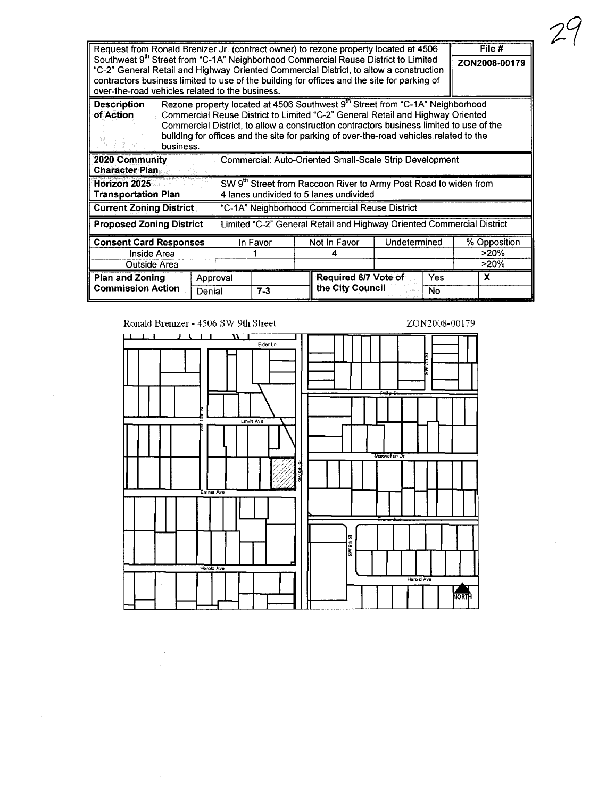| File #                                     |                                                                                                                                                                                        |                                                                                           |              |                                                                                             |                      |               |              |  |  |
|--------------------------------------------|----------------------------------------------------------------------------------------------------------------------------------------------------------------------------------------|-------------------------------------------------------------------------------------------|--------------|---------------------------------------------------------------------------------------------|----------------------|---------------|--------------|--|--|
|                                            | Request from Ronald Brenizer Jr. (contract owner) to rezone property located at 4506<br>Southwest 9 <sup>th</sup> Street from "C-1A" Neighborhood Commercial Reuse District to Limited |                                                                                           |              |                                                                                             |                      |               |              |  |  |
|                                            | "C-2" General Retail and Highway Oriented Commercial District, to allow a construction                                                                                                 |                                                                                           |              |                                                                                             |                      | ZON2008-00179 |              |  |  |
|                                            |                                                                                                                                                                                        |                                                                                           |              | contractors business limited to use of the building for offices and the site for parking of |                      |               |              |  |  |
|                                            |                                                                                                                                                                                        | over-the-road vehicles related to the business.                                           |              |                                                                                             |                      |               |              |  |  |
| <b>Description</b>                         |                                                                                                                                                                                        | Rezone property located at 4506 Southwest 9 <sup>th</sup> Street from "C-1A" Neighborhood |              |                                                                                             |                      |               |              |  |  |
| of Action                                  |                                                                                                                                                                                        | Commercial Reuse District to Limited "C-2" General Retail and Highway Oriented            |              |                                                                                             |                      |               |              |  |  |
|                                            |                                                                                                                                                                                        | Commercial District, to allow a construction contractors business limited to use of the   |              |                                                                                             |                      |               |              |  |  |
|                                            |                                                                                                                                                                                        | building for offices and the site for parking of over-the-road vehicles related to the    |              |                                                                                             |                      |               |              |  |  |
|                                            | business.                                                                                                                                                                              |                                                                                           |              |                                                                                             |                      |               |              |  |  |
| 2020 Community<br><b>Character Plan</b>    |                                                                                                                                                                                        | Commercial: Auto-Oriented Small-Scale Strip Development                                   |              |                                                                                             |                      |               |              |  |  |
|                                            |                                                                                                                                                                                        |                                                                                           |              |                                                                                             |                      |               |              |  |  |
| Horizon 2025<br><b>Transportation Plan</b> |                                                                                                                                                                                        | SW 9 <sup>th</sup> Street from Raccoon River to Army Post Road to widen from              |              |                                                                                             |                      |               |              |  |  |
|                                            |                                                                                                                                                                                        | 4 lanes undivided to 5 lanes undivided                                                    |              |                                                                                             |                      |               |              |  |  |
| <b>Current Zoning District</b>             |                                                                                                                                                                                        | "C-1A" Neighborhood Commercial Reuse District                                             |              |                                                                                             |                      |               |              |  |  |
| <b>Proposed Zoning District</b>            | Limited "C-2" General Retail and Highway Oriented Commercial District                                                                                                                  |                                                                                           |              |                                                                                             |                      |               |              |  |  |
| <b>Consent Card Responses</b>              | In Favor                                                                                                                                                                               |                                                                                           | Not In Favor |                                                                                             | Undetermined         | % Opposition  |              |  |  |
| Inside Area                                |                                                                                                                                                                                        |                                                                                           |              |                                                                                             |                      | $>20\%$       |              |  |  |
| Outside Area                               |                                                                                                                                                                                        |                                                                                           |              |                                                                                             |                      | >20%          |              |  |  |
| <b>Plan and Zoning</b>                     | Approval                                                                                                                                                                               |                                                                                           |              |                                                                                             | Required 6/7 Vote of | Yes           | $\mathbf{x}$ |  |  |
| <b>Commission Action</b>                   | Denial                                                                                                                                                                                 | $7-3$                                                                                     |              | the City Council<br>No                                                                      |                      |               |              |  |  |

Ronald Brenizer - 4506 SW 9th Street

 $\frac{1}{2}$  .

ZON2008-00179

 $24$ 

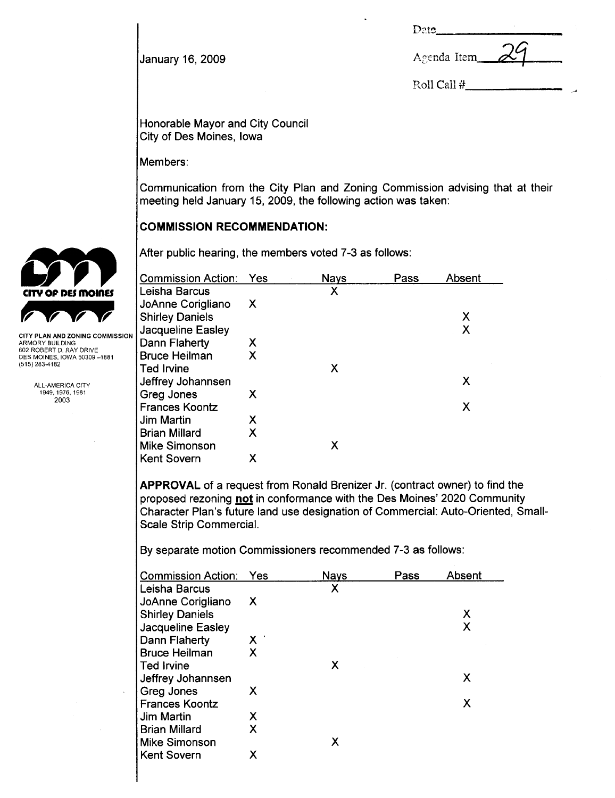|--|

Roll Call #

**January 16, 2009 A**genda Item

Honorable Mayor and City Council City of Des Moines, Iowa

Members:

Communication from the City Plan and Zoning Commission advising that at their meeting held January 15, 2009, the following action was taken:

COMMISSION RECOMMENDATION:

After public hearing, the members voted 7-3 as follows:

|                                                                                                                                | <b>Commission Action: Yes</b> |   | <b>Nays</b> | Pass | Absent |
|--------------------------------------------------------------------------------------------------------------------------------|-------------------------------|---|-------------|------|--------|
| CITY OF DES MOINES                                                                                                             | Leisha Barcus                 |   | X           |      |        |
|                                                                                                                                | JoAnne Corigliano             | X |             |      |        |
|                                                                                                                                | <b>Shirley Daniels</b>        |   |             |      | Χ      |
| CITY PLAN AND ZONING COMMISSION<br>ARMORY BUILDING<br>602 ROBERT D. RAY DRIVE<br>DES MOINES, IOWA 50309-1881<br>(515) 283-4182 | Jacqueline Easley             |   |             |      |        |
|                                                                                                                                | Dann Flaherty                 | X |             |      |        |
|                                                                                                                                | <b>Bruce Heilman</b>          | Χ |             |      |        |
|                                                                                                                                | Ted Irvine                    |   | X           |      |        |
| ALL-AMERICA CITY<br>1949, 1976, 1981<br>2003                                                                                   | Jeffrey Johannsen             |   |             |      | Х      |
|                                                                                                                                | Greg Jones                    | Х |             |      |        |
|                                                                                                                                | <b>Frances Koontz</b>         |   |             |      | Х      |
|                                                                                                                                | Jim Martin                    | Χ |             |      |        |
|                                                                                                                                | <b>Brian Millard</b>          | X |             |      |        |
|                                                                                                                                | Mike Simonson                 |   | Χ           |      |        |
|                                                                                                                                | <b>Kent Sovern</b>            | Χ |             |      |        |
|                                                                                                                                |                               |   |             |      |        |

APPROVAL of a request from Ronald Brenizer Jr. (contract owner) to find the proposed rezoning not in conformance with the Des Moines' 2020 Community Character Plan's future land use designation of Commercial: Auto-Oriented, Small-Scale Strip CommerciaL.

By separate motion Commissioners recommended 7-3 as follows:

| <b>Commission Action:</b> | Yes        | <b>Nays</b> | Pass | Absent |
|---------------------------|------------|-------------|------|--------|
| Leisha Barcus             |            | X           |      |        |
| JoAnne Corigliano         | X          |             |      |        |
| <b>Shirley Daniels</b>    |            |             |      | Х      |
| Jacqueline Easley         |            |             |      | Χ      |
| Dann Flaherty             | <b>X</b> . |             |      |        |
| <b>Bruce Heilman</b>      | X          |             |      |        |
| <b>Ted Irvine</b>         |            | X           |      |        |
| Jeffrey Johannsen         |            |             |      | x      |
| Greg Jones                | X          |             |      |        |
| <b>Frances Koontz</b>     |            |             |      | х      |
| Jim Martin                | X          |             |      |        |
| <b>Brian Millard</b>      | X          |             |      |        |
| Mike Simonson             |            | Х           |      |        |
| <b>Kent Sovern</b>        | х          |             |      |        |



| CITY PLAN AND ZONING COMMISSION |  |
|---------------------------------|--|
| ARMORY BUILDING                 |  |
| 602 ROBERT D. RAY DRIVE         |  |
| DES MOINES. IOWA 50309-1881     |  |
| (515) 283-4182                  |  |
|                                 |  |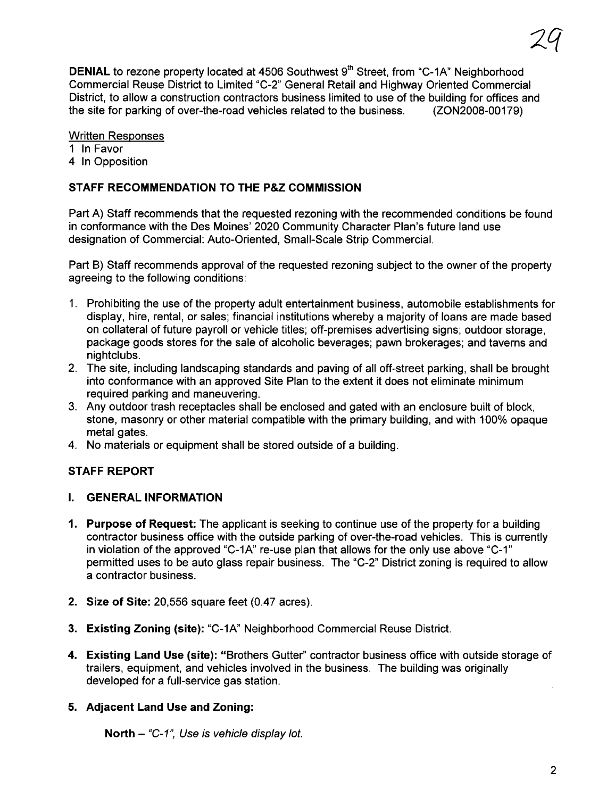DENIAL to rezone property located at 4506 Southwest 9<sup>th</sup> Street, from "C-1A" Neighborhood Commercial Reuse District to Limited "C-2" General Retail and Highway Oriented Commercial District, to allow a construction contractors business limited to use of the building for offices and the site for parking of over-the-road vehicles related to the business. (ZON2008-00179)

#### Written Responses

- 1 In Favor
- 4 In Opposition

# STAFF RECOMMENDATION TO THE P&Z COMMISSION

Part A) Staff recommends that the requested rezoning with the recommended conditions be found in conformance with the Des Moines' 2020 Community Character Plan's future land use designation of Commercial: Auto-Oriented, Small-Scale Strip CommerciaL.

Part B) Staff recommends approval of the requested rezoning subject to the owner of the property agreeing to the following conditions:

- 1. Prohibiting the use of the property adult entertainment business, automobile establishments for display, hire, rental, or sales; financial institutions whereby a majority of loans are made based on collateral of future payroll or vehicle titles; off-premises advertising signs; outdoor storage, package goods stores for the sale of alcoholic beverages; pawn brokerages; and taverns and nightclubs.
- 2. The site, including landscaping standards and paving of all off-street parking, shall be brought into conformance with an approved Site Plan to the extent it does not eliminate minimum required parking and maneuvering.
- 3. Any outdoor trash receptacles shall be enclosed and gated with an enclosure built of block, stone, masonry or other material compatible with the primary building, and with 100% opaque metal gates.
- 4. No materials or equipment shall be stored outside of a building.

## STAFF REPORT

## I. GENERAL INFORMATION

- 1. Purpose of Request: The applicant is seeking to continue use of the property for a building contractor business office with the outside parking of over-the-road vehicles. This is currently in violation of the approved "C-1A" re-use plan that allows for the only use above "C-1" permitted uses to be auto glass repair business. The "C-2" District zoning is required to allow a contractor business.
- 2. Size of Site: 20,556 square feet (0.47 acres).
- 3. Existing Zoning (site): "C-1A" Neighborhood Commercial Reuse District.
- 4. Existing Land Use (site): "Brothers Gutter" contractor business office with outside storage of trailers, equipment, and vehicles involved in the business. The building was originally developed for a full-service gas station.

## 5. Adjacent Land Use and Zoning:

North  $-$  "C-1", Use is vehicle display lot.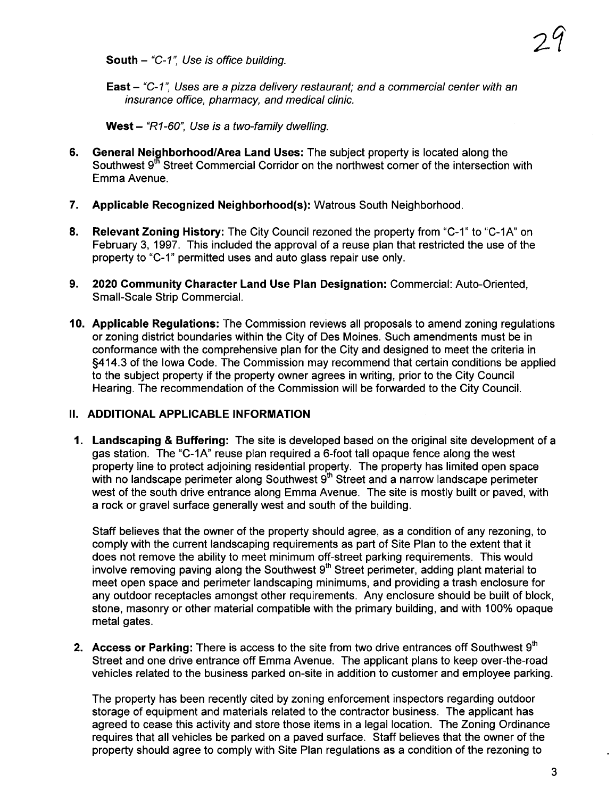South  $-$  "C-1", Use is office building.

**East**  $-$  "C-1", Uses are a pizza delivery restaurant; and a commercial center with an insurance office, pharmacy, and medical clinic.

West  $-$  "R1-60", Use is a two-family dwelling.

- 6. General Neighborhood/Area Land Uses: The subject property is located along the Southwest 9<sup>th</sup> Street Commercial Corridor on the northwest corner of the intersection with Emma Avenue.
- 7. Applicable Recognized Neighborhood(s): Watrous South Neighborhood.
- 8. Relevant Zoning History: The City Council rezoned the property from "C-1" to "C-1A" on February 3, 1997. This included the approval of a reuse plan that restricted the use of the property to "C\_1" permitted uses and auto glass repair use only.
- 9. 2020 Community Character Land Use Plan Designation: Commercial: Auto-Oriented, Small-Scale Strip CommerciaL.
- 10. Applicable Regulations: The Commission reviews all proposals to amend zoning regulations or zoning district boundaries within the City of Des Moines. Such amendments must be in conformance with the comprehensive plan for the City and designed to meet the criteria in §414.3 of the Iowa Code. The Commission may recommend that certain conditions be applied to the subject property if the property owner agrees in writing, prior to the City Council Hearing. The recommendation of the Commission will be forwarded to the City CounciL.

## II. ADDITIONAL APPLICABLE INFORMATION

1. Landscaping & Buffering: The site is developed based on the original site development of a gas station. The "C-1A" reuse plan required a 6-foot tall opaque fence along the west property line to protect adjoining residential property. The property has limited open space with no landscape perimeter along Southwest  $9<sup>th</sup>$  Street and a narrow landscape perimeter west of the south drive entrance along Emma Avenue. The site is mostly built or paved, with a rock or gravel surface generally west and south of the building.

Staff believes that the owner of the property should agree, as a condition of any rezoning, to comply with the current landscaping requirements as part of Site Plan to the extent that it does not remove the abilty to meet minimum off-street parking requirements. This would involve removing paving along the Southwest  $9<sup>th</sup>$  Street perimeter, adding plant material to meet open space and perimeter landscaping minimums, and providing a trash enclosure for any outdoor receptacles amongst other requirements. Any enclosure should be built of block, stone, masonry or other material compatible with the primary building, and with 100% opaque metal gates.

2. Access or Parking: There is access to the site from two drive entrances off Southwest  $9<sup>th</sup>$ Street and one drive entrance off Emma Avenue. The applicant plans to keep over-the-road vehicles related to the business parked on-site in addition to customer and employee parking.

The property has been recently cited by zoning enforcement inspectors regarding outdoor storage of equipment and materials related to the contractor business. The applicant has agreed to cease this activity and store those items in a legal location. The Zoning Ordinance requires that all vehicles be parked on a paved surface. Staff believes that the owner of the property should agree to comply with Site Plan regulations as a condition of the rezoning to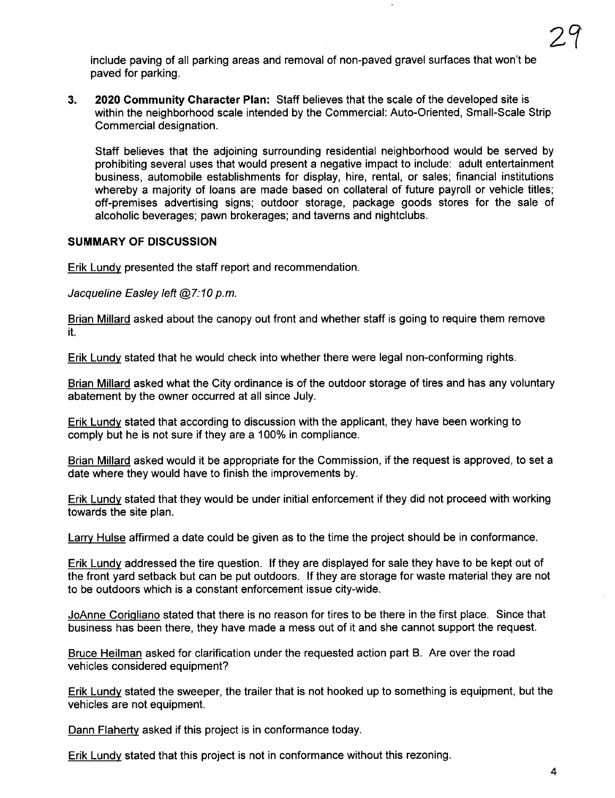include paving of all parking areas and removal of non-paved gravel surfaces that won't be paved for parking.

3. 2020 Community Character Plan: Staff believes that the scale of the developed site is within the neighborhood scale intended by the Commercial: Auto-Oriented, Small-Scale Strip Commercial designation.

Staff believes that the adjoining surrounding residential neighborhood would be served by prohibiting several uses that would present a negative impact to include: adult entertainment business, automobile establishments for display, hire, rental, or sales; financial institutions whereby a majority of loans are made based on collateral of future payroll or vehicle titles; off-premises advertising signs; outdoor storage, package goods stores for the sale of alcoholic beverages; pawn brokerages; and taverns and nightclubs.

#### SUMMARY OF DISCUSSION

Erik Lundy presented the staff report and recommendation.

Jacqueline Easley left  $@7:10$  p.m.

Brian Millard asked about the canopy out front and whether staff is going to require them remove it.

Erik Lundy stated that he would check into whether there were legal non-conforming rights.

Brian Milard asked what the City ordinance is of the outdoor storage of tires and has any voluntary abatement by the owner occurred at all since July.

Erik Lundy stated that according to discussion with the applicant, they have been working to comply but he is not sure if they are a 100% in compliance.

Brian Milard asked would it be appropriate for the Commission, if the request is approved, to set a date where they would have to finish the improvements by.

Erik Lundy stated that they would be under initial enforcement if they did not proceed with working towards the site plan.

Larry Hulse affirmed a date could be given as to the time the project should be in conformance.

Erik Lundy addressed the tire question. If they are displayed for sale they have to be kept out of the front yard setback but can be put outdoors. If they are storage for waste material they are not to be outdoors which is a constant enforcement issue city-wide.

JoAnne CoriQliano stated that there is no reason for tires to be there in the first place. Since that business has been there, they have made a mess out of it and she cannot support the request.

Bruce Heilman asked for clarification under the requested action part B. Are over the road vehicles considered equipment?

Erik Lundy stated the sweeper, the trailer that is not hooked up to something is equipment, but the vehicles are not equipment.

Dann Flaherty asked if this project is in conformance today.

Erik Lundy stated that this project is not in conformance without this rezoning.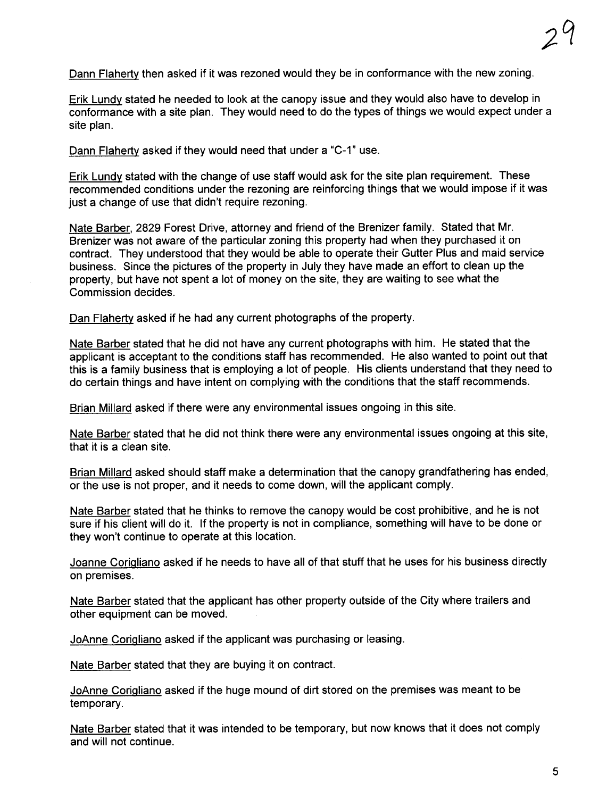Dann Flaherty then asked if it was rezoned would they be in conformance with the new zoning.

Erik Lundy stated he needed to look at the canopy issue and they would also have to develop in conformance with a site plan. They would need to do the types of things we would expect under a site plan.

Dann Flaherty asked if they would need that under a "C-1" use.

Erik Lundy stated with the change of use staff would ask for the site plan requirement. These recommended conditions under the rezoning are reinforcing things that we would impose if it was just a change of use that didn't require rezoning.

Nate Barber, 2829 Forest Drive, attorney and friend of the Brenizer family. Stated that Mr. Brenizer was not aware of the particular zoning this property had when they purchased it on contract. They understood that they would be able to operate their Gutter Plus and maid service business. Since the pictures of the property in July they have made an effort to clean up the property, but have not spent a lot of money on the site, they are waiting to see what the Commission decides.

Dan Flaherty asked if he had any current photographs of the property.

Nate Barber stated that he did not have any current photographs with him. He stated that the applicant is acceptant to the conditions staff has recommended. He also wanted to point out that this is a family business that is employing a lot of people. His clients understand that they need to do certain things and have intent on complying with the conditions that the staff recommends.

Brian Milard asked if there were any environmental issues ongoing in this site.

Nate Barber stated that he did not think there were any environmental issues ongoing at this site, that it is a clean site.

Brian Milard asked should staff make a determination that the canopy grandfathering has ended, or the use is not proper, and it needs to come down, will the applicant comply.

Nate Barber stated that he thinks to remove the canopy would be cost prohibitive, and he is not sure if his client will do it. If the property is not in compliance, something will have to be done or they won't continue to operate at this location.

Joanne Corigliano asked if he needs to have all of that stuff that he uses for his business directly on premises.

Nate Barber stated that the applicant has other property outside of the City where trailers and other equipment can be moved.

JoAnne Corigliano asked if the applicant was purchasing or leasing.

Nate Barber stated that they are buying it on contract.

JoAnne Corialiano asked if the huge mound of dirt stored on the premises was meant to be temporary.

Nate Barber stated that it was intended to be temporary, but now knows that it does not comply and will not continue.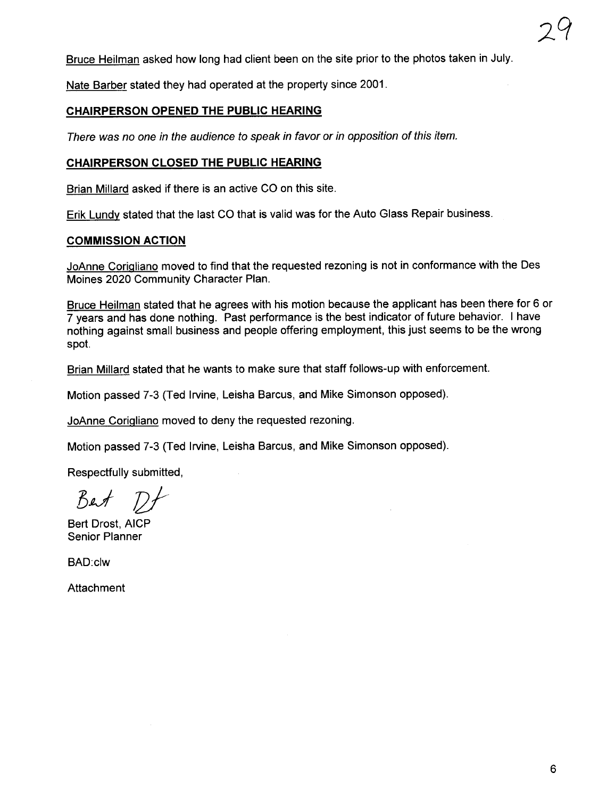Bruce Heilman asked how long had client been on the site prior to the photos taken in July.

Nate Barber stated they had operated at the property since 2001.

#### CHAIRPERSON OPENED THE PUBLIC HEARING

There was no one in the audience to speak in favor or in opposition of this item.

#### CHAIRPERSON CLOSED THE PUBLIC HEARING

Brian Milard asked if there is an active CO on this site.

Erik Lundy stated that the last CO that is valid was for the Auto Glass Repair business.

#### COMMISSION ACTION

JoAnne Corigliano moved to find that the requested rezoning is not in conformance with the Des Moines 2020 Community Character Plan.

Bruce Heilman stated that he agrees with his motion because the applicant has been there for 6 or 7 years and has done nothing. Past performance is the best indicator of future behavior. i have nothing against small business and people offering employment, this just seems to be the wrong spot.

Brian Millard stated that he wants to make sure that staff follows-up with enforcement.

Motion passed 7-3 (Ted Irvine, Leisha Barcus, and Mike Simonson opposed).

JoAnne CoriQliano moved to deny the requested rezoning.

Motion passed 7-3 (Ted Irvine, Leisha Barcus, and Mike Simonson opposed).

Respectfully submitted,

 $Bert$   $Df$ 

Bert Drost, AICP Senior Planner

BAD:clw

**Attachment**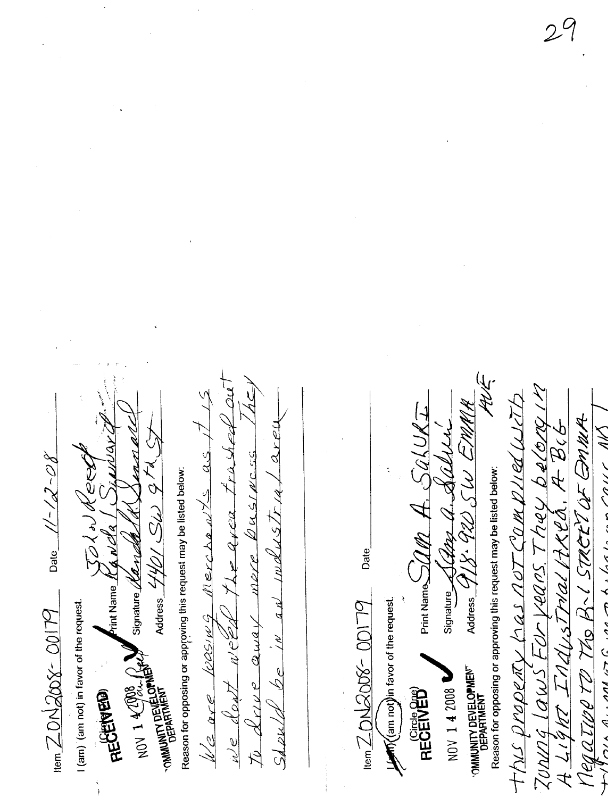全产 JUNNA LAWS FOR VERRS. THEY belong IM  $\frac{\partial}{\partial t} \left( \frac{\partial}{\partial t} \right) \mathcal{Y} \cdot \mathcal{G} \mathcal{U} \right) \leq U \mathcal{U} \mathcal{H} \mathcal{H} \mathcal{H}$ Print Name $\supseteq$   $\mathrel{{\mathcal U} R} \mathrel{{\mathcal A}} \cdots$ Megative TO The B. 1 STREET OF OMMA  $2xe^{t}$ A LIGHT INDUSTMAL PARCO. A BIG Signature A Chap a. Salle  $\omega$ e dont weed the area trashed This property has not Complied u  $1/2$  ore loosing Merchants as Dusswcss Date  $1/-/2-C\delta$ Address  $440/56/97$ Neet Reason for opposing or approving this request may be listed below: Reason for opposing or approving this request may be listed below:  $Sdz$ uld be in an imdustru Lahaz  $\bm{F}$ rint Name  $\bm{\mathit{l}}'$  (a  $\bm{\mathit{n}}'$  c/a  $\bm{\mathit{l}}$ Signature / Candel merre Date **Letto Cam not lin favor of the request.** I (am) (am not) in favor of the request. **No. 7012008-00179**  $\frac{20 \text{ N200} - 20179}{19}$  $70$  doive away NOV 1 4 290 R OMMUNITY DEVELOPMENT OMMUNITY DEVELOPME NOV 1 4 2008 **REGENED** RECEIVED<sup>®</sup>